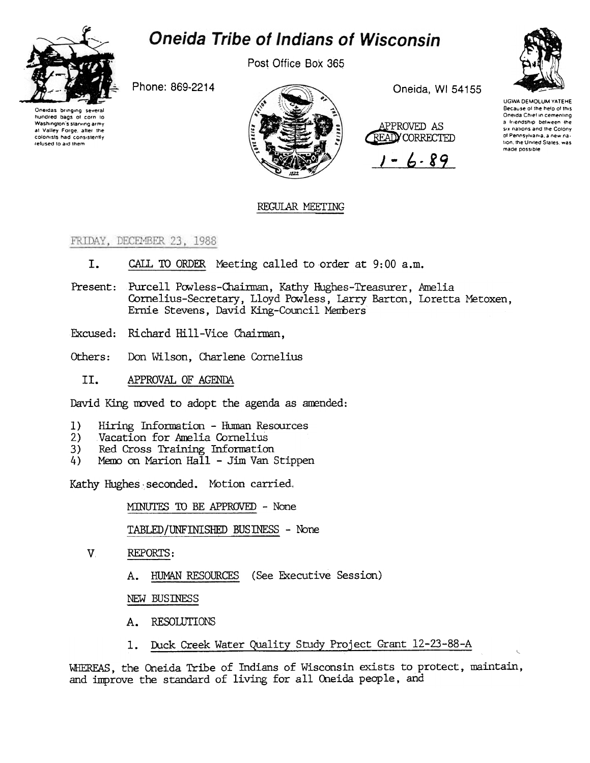

# **Oneida Tribe of Indians of Wisconsin**

Post Office Box 365

Phone: 869-2214





Oneida, WI 54155



 $-6.89$ 



**UGWA DEMOLUM YATEHE** Because of the help of this<br>Oneida Chief in cementing a friendship between the six nations and the Colony of Pennsylvania, a new nation, the United States, was made possible

## REGULAR MEETING

## FRIDAY, DECEMBER 23, 1988

- I. CALL TO ORDER Meeting called to order at 9:00 a.m.
- Present: Purcell Powless-Chairman, Kathy Hughes-Treasurer, Amelia Cornelius-Secretary, Lloyd Powless, Larry Barton, Loretta Metoxen, Ernie Stevens, David King-Council Members
- Excused: Richard Hill-Vice Chairman,
- Don Wilson, Charlene Cornelius Others:
	- II. APPROVAL OF AGENDA

David King moved to adopt the agenda as amended:

- $1)$ Hiring Information - Human Resources
- Vacation for Amelia Cornelius  $2)$
- Red Cross Training Information 3)
- Memo on Marion Hall Jim Van Stippen 4)

Kathy Hughes seconded. Motion carried.

MINUTES TO BE APPROVED - None

TABLED/UNFINISHED BUSINESS - None

- $V_{\cdot}$ REPORTS:
	- HUMAN RESOURCES (See Executive Session) Α.

NEW BUSINESS

- A. RESOLUTIONS
- Duck Creek Water Quality Study Project Grant 12-23-88-A  $1.$

WHEREAS, the Oneida Tribe of Indians of Wisconsin exists to protect, maintain, and improve the standard of living for all Oneida people, and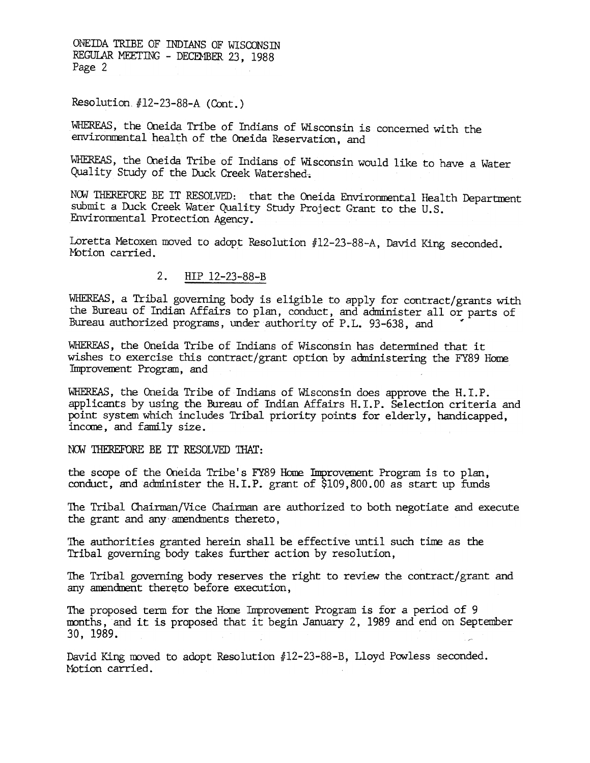ONEIDA TRIBE OF INDIANS OF WISCONSIN REGULAR MEETING - DECEMBER 23, 1988 Page 2

Resolution  $#12-23-88-A$  (Cont.)

WHEREAS, the Oneida Tribe of Indians of Wisconsin is concerned with the environmental health of the Oneida Reservation, and

WHEREAS, the Oneida Tribe of Indians of Wisconsin would like to have a Water Quality Study of the Duck Creek Watershed.

NOW THEREFORE BE IT RESOLVED: that the Oneida Environmental Health Department submit a Duck Creek Water Quality Study Project Grant to the U.S. Environmental Protection Agency.

Loretta Metoxen moved to adopt Resolution #12-23-88-A, David King seconded. Motion carried.

### 2. HIP 12-23-88-B

WHEREAS, a Tribal governing body is eligible to apply for contract/grants with the Bureau of Indian Affairs to plan, conduct, and administer all or parts of Bureau authorized programs, under authority of P.L. 93-638, and

WHEREAS, the Oneida Tribe of Indians of Wisconsin has determined that it wishes to exercise this contract/grant option by administering the FY89 Home Improvement Program, and

WHEREAS, the Oneida Tribe of Indians of Wisconsin does approve the H.I.P. applicants by using the Bureau of Indian Affairs H.I.P. Selection criteria and point system which includes Tribal priority points for elderly, handicapped, income, and family size.

NOW THEREFORE BE IT RESOLVED THAT:

the scope of the Oneida Tribe's FY89 Home Improvement Program is to plan. conduct, and administer the H.I.P. grant of \$109,800.00 as start up funds

The Tribal Chairman/Vice Chairman are authorized to both negotiate and execute the grant and any amendments thereto,

The authorities granted herein shall be effective until such time as the Tribal governing body takes further action by resolution,

The Tribal governing body reserves the right to review the contract/grant and any amendment thereto before execution,

The proposed term for the Home Improvement Program is for a period of 9 months, and it is proposed that it begin January 2, 1989 and end on September 30, 1989.

David King moved to adopt Resolution #12-23-88-B, Lloyd Powless seconded. Motion carried.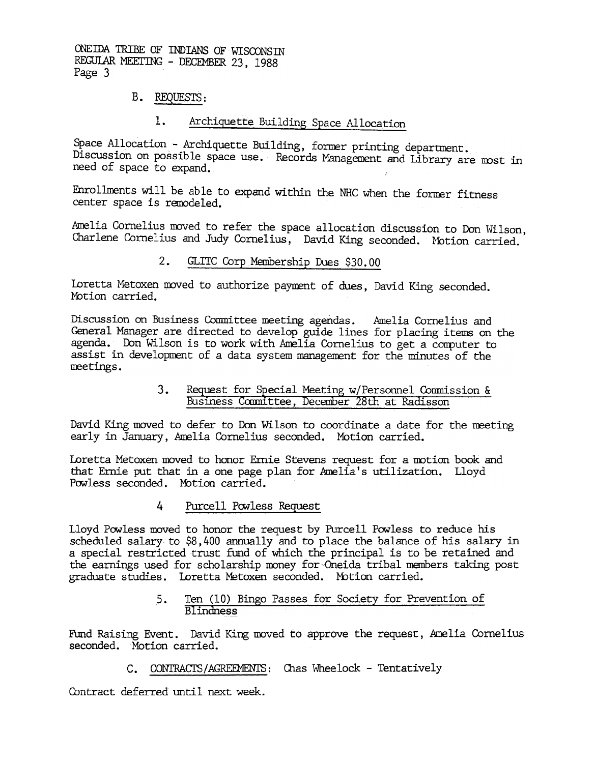ONEIDA TRIBE OF INDIANS OF WISCONSIN REGULAR MEETING - DECEMBER 23, 1988 Page 3

## B. REQUESTS:

# 1. Archiquette Building Space Allocation

Space Allocation - Archiquette Building, former printing department. Discussion on possible space use. Records Management and Library are most in need of space to expand.

Enrollments will be able to expand within the NHC when the former fitness center space is remodeled.

Amelia Cornelius moved to refer the space allocation discussion to Don Wilson, Charlene Cornelius and Judy Cornelius, David King seconded. Motion carried.

### $2.$ GLITC Corp Membership Dues \$30.00

Loretta Metoxen moved to authorize payment of dues, David King seconded. Motion carried.

Discussion on Business Conmittee meeting agendas. Amelia Cornelius and General Manager are directed to develop guide lines for placing items on the agenda. Don Wilson is to work with Amelia Cornelius to get a computer to assist in development of a data system management for the minutes of the neetings.

# Business Committee, December 28th at Radisson

David King moved to defer to Don Wilson to coordinate a date for the neeting early in January, Amelia Cornelius seconded. MOtion carried.

Ioretta Metoxen moved to honor Ernie Stevens request for a motion book and that Ernie put that in a one page plan for Amelia's utilization. Lloyd Powless seconded. Motion carried.

### 4 Purcell Powless Request

3. Equest to the setting witewave a committee, because T29H at Radisson David King moved to defer to Don Wilson to coordinate a date for the meeting in January, Amelia Cornelius seconded. Motion carried.<br>
Lorida Me . In th Lloyd Powless moved to honor the request by Purcell Powless to reduce his scheduled salary to \$8,400 annually and to place the balance of his salary in a special restricted trust fund of Which the principal is to be retained and the earnings used for scholarship money for~Oneida tribal members taking post graduate studies. Loretta Metoxen seconded. Motion carried.

### 5. Ten (10) Bingo Passes for Society for Prevention of Blindness

Fund Raising Event. David King moved to approve the request, Amelia Cornelius seconded. Motion carried.

C. CONTRACTS/AGREEMENTS: Chas Wheelock - Tentatively

Contract deferred until next week.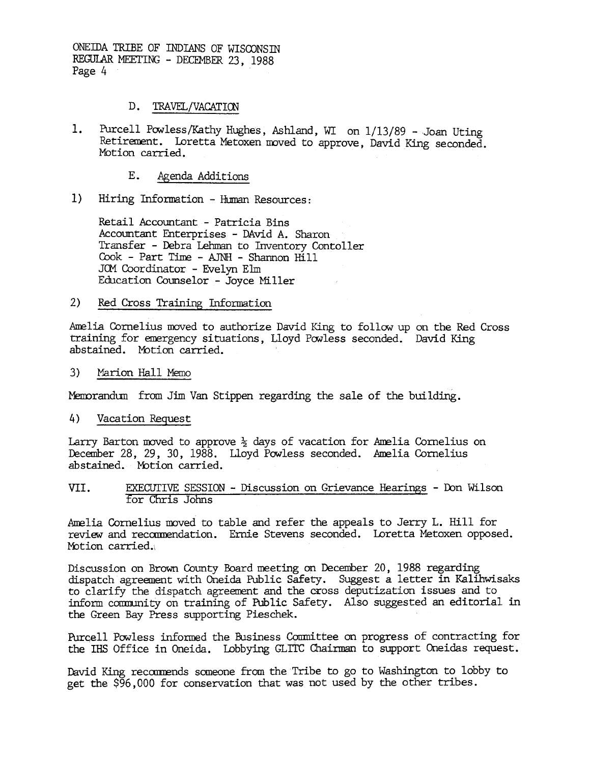ONEIDA TRIBE OF INDIANS OF WISCONSTN REGULAR MEETING - DECEMBER 23, 1988 Page 4

#### $D_{\bullet}$ TRAVEL/VACATION

- Purcell Powless/Kathy Hughes, Ashland, WI on 1/13/89 Joan Uting  $1.$ Retirement. Loretta Metoxen moved to approve, David King seconded. Motion carried.
	- Е. Agenda Additions
- $1)$ Hiring Information - Human Resources:

Retail Accountant - Patricia Bins Accountant Enterprises - DAvid A. Sharon Transfer - Debra Lehman to Inventory Contoller Cook - Part Time - AJNH - Shannon Hill JOM Coordinator - Evelyn Elm Education Counselor - Joyce Miller

#### $2)$ Red Cross Training Information

Amelia Cornelius moved to authorize David King to follow up on the Red Cross training for emergency situations, Lloyd Powless seconded. David King abstained. Motion carried.

 $3)$ Marion Hall Memo

Memorandum from Jim Van Stippen regarding the sale of the building.

4) Vacation Request

Larry Barton moved to approve  $\frac{1}{2}$  days of vacation for Amelia Cornelius on December 28, 29, 30, 1988. Lloyd Powless seconded. Amelia Cornelius abstained. Motion carried.

EXECUTIVE SESSION - Discussion on Grievance Hearings - Don Wilson VII. for Chris Johns

Amelia Cornelius moved to table and refer the appeals to Jerry L. Hill for review and recommendation. Ernie Stevens seconded. Loretta Metoxen opposed. Motion carried.

Discussion on Brown County Board meeting on December 20, 1988 regarding dispatch agreement with Oneida Public Safety. Suggest a letter in Kalihwisaks to clarify the dispatch agreement and the cross deputization issues and to inform community on training of Public Safety. Also suggested an editorial in the Green Bay Press supporting Pieschek.

Purcell Powless informed the Business Committee on progress of contracting for the IHS Office in Oneida. Lobbying GLITC Chairman to support Oneidas request.

David King recommends someone from the Tribe to go to Washington to lobby to get the \$96,000 for conservation that was not used by the other tribes.